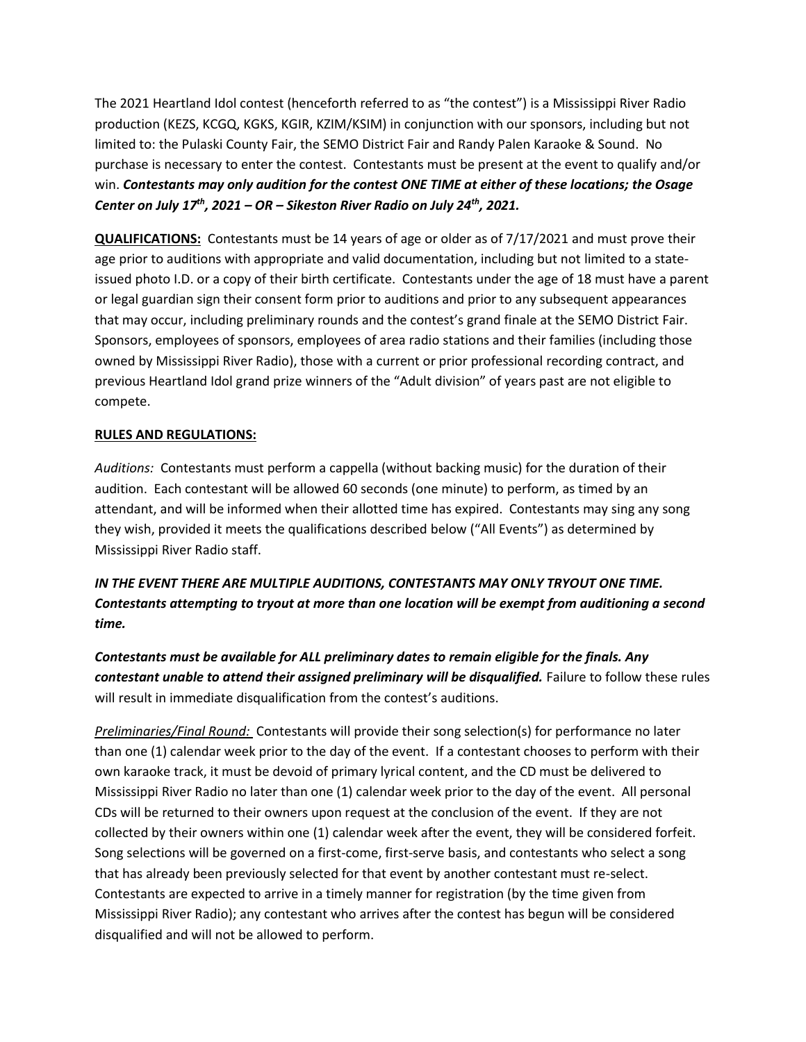The 2021 Heartland Idol contest (henceforth referred to as "the contest") is a Mississippi River Radio production (KEZS, KCGQ, KGKS, KGIR, KZIM/KSIM) in conjunction with our sponsors, including but not limited to: the Pulaski County Fair, the SEMO District Fair and Randy Palen Karaoke & Sound. No purchase is necessary to enter the contest. Contestants must be present at the event to qualify and/or win. *Contestants may only audition for the contest ONE TIME at either of these locations; the Osage Center on July 17 th, 2021 – OR – Sikeston River Radio on July 24th , 2021.*

**QUALIFICATIONS:** Contestants must be 14 years of age or older as of 7/17/2021 and must prove their age prior to auditions with appropriate and valid documentation, including but not limited to a stateissued photo I.D. or a copy of their birth certificate. Contestants under the age of 18 must have a parent or legal guardian sign their consent form prior to auditions and prior to any subsequent appearances that may occur, including preliminary rounds and the contest's grand finale at the SEMO District Fair. Sponsors, employees of sponsors, employees of area radio stations and their families (including those owned by Mississippi River Radio), those with a current or prior professional recording contract, and previous Heartland Idol grand prize winners of the "Adult division" of years past are not eligible to compete.

## **RULES AND REGULATIONS:**

*Auditions:* Contestants must perform a cappella (without backing music) for the duration of their audition. Each contestant will be allowed 60 seconds (one minute) to perform, as timed by an attendant, and will be informed when their allotted time has expired. Contestants may sing any song they wish, provided it meets the qualifications described below ("All Events") as determined by Mississippi River Radio staff.

*IN THE EVENT THERE ARE MULTIPLE AUDITIONS, CONTESTANTS MAY ONLY TRYOUT ONE TIME. Contestants attempting to tryout at more than one location will be exempt from auditioning a second time.*

*Contestants must be available for ALL preliminary dates to remain eligible for the finals. Any contestant unable to attend their assigned preliminary will be disqualified.* Failure to follow these rules will result in immediate disqualification from the contest's auditions.

*Preliminaries/Final Round:* Contestants will provide their song selection(s) for performance no later than one (1) calendar week prior to the day of the event. If a contestant chooses to perform with their own karaoke track, it must be devoid of primary lyrical content, and the CD must be delivered to Mississippi River Radio no later than one (1) calendar week prior to the day of the event. All personal CDs will be returned to their owners upon request at the conclusion of the event. If they are not collected by their owners within one (1) calendar week after the event, they will be considered forfeit. Song selections will be governed on a first-come, first-serve basis, and contestants who select a song that has already been previously selected for that event by another contestant must re-select. Contestants are expected to arrive in a timely manner for registration (by the time given from Mississippi River Radio); any contestant who arrives after the contest has begun will be considered disqualified and will not be allowed to perform.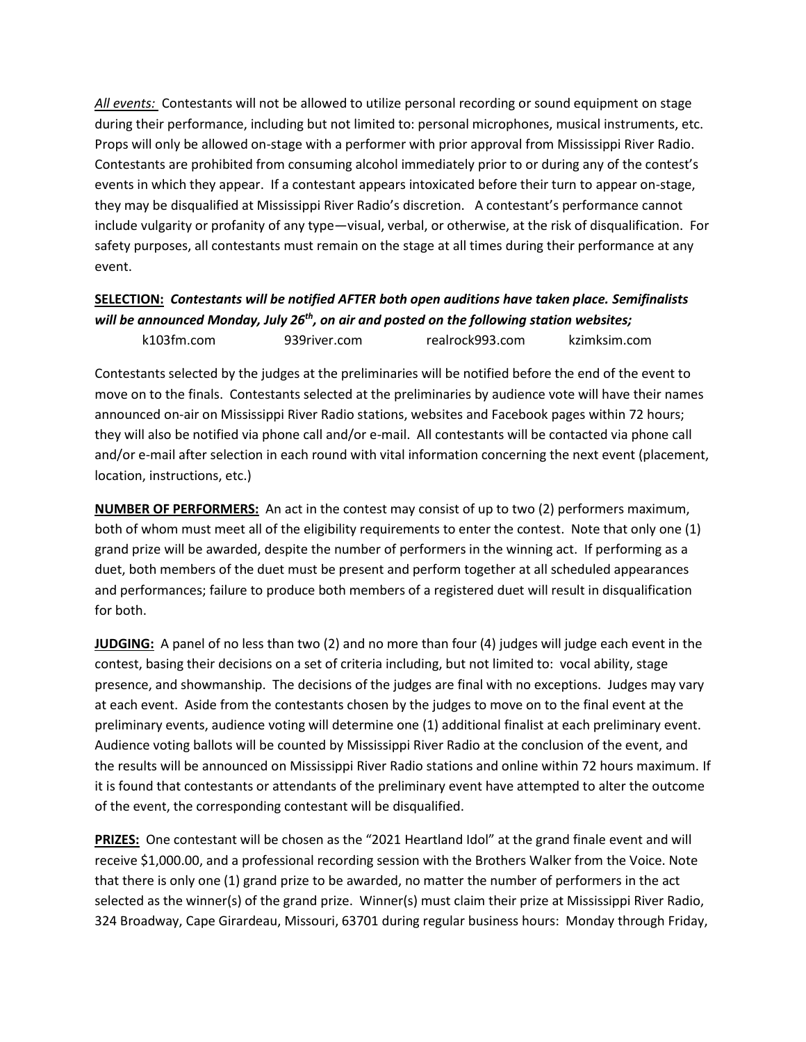*All events:* Contestants will not be allowed to utilize personal recording or sound equipment on stage during their performance, including but not limited to: personal microphones, musical instruments, etc. Props will only be allowed on-stage with a performer with prior approval from Mississippi River Radio. Contestants are prohibited from consuming alcohol immediately prior to or during any of the contest's events in which they appear. If a contestant appears intoxicated before their turn to appear on-stage, they may be disqualified at Mississippi River Radio's discretion. A contestant's performance cannot include vulgarity or profanity of any type—visual, verbal, or otherwise, at the risk of disqualification. For safety purposes, all contestants must remain on the stage at all times during their performance at any event.

## **SELECTION:** *Contestants will be notified AFTER both open auditions have taken place. Semifinalists will be announced Monday, July 26th , on air and posted on the following station websites;* k103fm.com 939river.com realrock993.com kzimksim.com

Contestants selected by the judges at the preliminaries will be notified before the end of the event to move on to the finals. Contestants selected at the preliminaries by audience vote will have their names announced on-air on Mississippi River Radio stations, websites and Facebook pages within 72 hours; they will also be notified via phone call and/or e-mail. All contestants will be contacted via phone call and/or e-mail after selection in each round with vital information concerning the next event (placement, location, instructions, etc.)

**NUMBER OF PERFORMERS:** An act in the contest may consist of up to two (2) performers maximum, both of whom must meet all of the eligibility requirements to enter the contest. Note that only one (1) grand prize will be awarded, despite the number of performers in the winning act. If performing as a duet, both members of the duet must be present and perform together at all scheduled appearances and performances; failure to produce both members of a registered duet will result in disqualification for both.

**JUDGING:** A panel of no less than two (2) and no more than four (4) judges will judge each event in the contest, basing their decisions on a set of criteria including, but not limited to: vocal ability, stage presence, and showmanship. The decisions of the judges are final with no exceptions. Judges may vary at each event. Aside from the contestants chosen by the judges to move on to the final event at the preliminary events, audience voting will determine one (1) additional finalist at each preliminary event. Audience voting ballots will be counted by Mississippi River Radio at the conclusion of the event, and the results will be announced on Mississippi River Radio stations and online within 72 hours maximum. If it is found that contestants or attendants of the preliminary event have attempted to alter the outcome of the event, the corresponding contestant will be disqualified.

**PRIZES:** One contestant will be chosen as the "2021 Heartland Idol" at the grand finale event and will receive \$1,000.00, and a professional recording session with the Brothers Walker from the Voice. Note that there is only one (1) grand prize to be awarded, no matter the number of performers in the act selected as the winner(s) of the grand prize. Winner(s) must claim their prize at Mississippi River Radio, 324 Broadway, Cape Girardeau, Missouri, 63701 during regular business hours: Monday through Friday,